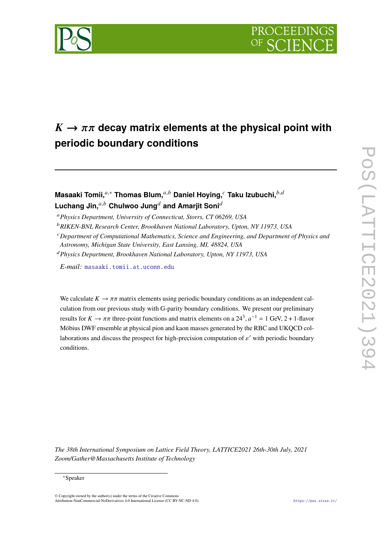

# $K \rightarrow \pi \pi$  decay matrix elements at the physical point with **periodic boundary conditions**

## **Masaaki Tomii,**<sup>a,∗</sup> Thomas Blum,<sup>a,b</sup> Daniel Hoying,<sup>*c*</sup> Taku Izubuchi,<sup>b,d</sup> **Luchang Jin.** $a,b$  Chulwoo Jung<sup>d</sup> and Amariit Soni<sup>d</sup>

*Physics Department, University of Connecticut, Storrs, CT 06269, USA*

*RIKEN-BNL Research Center, Brookhaven National Laboratory, Upton, NY 11973, USA*

*Department of Computational Mathematics, Science and Engineering, and Department of Physics and*

*Astronomy, Michigan State University, East Lansing, MI, 48824, USA*

*Physics Department, Brookhaven National Laboratory, Upton, NY 11973, USA*

*E-mail:* [masaaki.tomii.at.uconn.edu](mailto:masaaki.tomii.at.uconn.edu)

We calculate  $K \to \pi \pi$  matrix elements using periodic boundary conditions as an independent calculation from our previous study with G-parity boundary conditions. We present our preliminary results for  $K \to \pi \pi$  three-point functions and matrix elements on a 24<sup>3</sup>,  $a^{-1} = 1$  GeV, 2 + 1-flavor Möbius DWF ensemble at physical pion and kaon masses generated by the RBC and UKQCD collaborations and discuss the prospect for high-precision computation of  $\varepsilon'$  with periodic boundary conditions.

*The 38th International Symposium on Lattice Field Theory, LATTICE2021 26th-30th July, 2021 Zoom/Gather@Massachusetts Institute of Technology*

#### <sup>∗</sup>Speaker

© Copyright owned by the author(s) under the terms of the Creative Commons Attribution-NonCommercial-NoDerivatives 4.0 International License (CC BY-NC-ND 4.0). <https://pos.sissa.it/>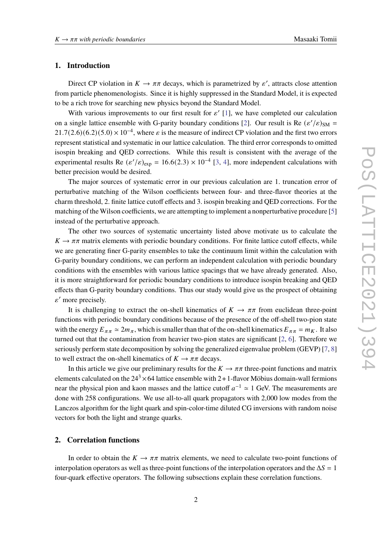#### **1. Introduction**

Direct CP violation in  $K \to \pi \pi$  decays, which is parametrized by  $\varepsilon'$ , attracts close attention from particle phenomenologists. Since it is highly suppressed in the Standard Model, it is expected to be a rich trove for searching new physics beyond the Standard Model.

With various improvements to our first result for  $\varepsilon'$  [\[1\]](#page-6-0), we have completed our calculation on a single lattice ensemble with G-parity boundary conditions [\[2\]](#page-6-1). Our result is Re  $(\varepsilon'/\varepsilon)_{\text{SM}} =$  $21.7(2.6)(6.2)(5.0) \times 10^{-4}$ , where  $\varepsilon$  is the measure of indirect CP violation and the first two errors represent statistical and systematic in our lattice calculation. The third error corresponds to omitted isospin breaking and QED corrections. While this result is consistent with the average of the experimental results Re  $(\varepsilon'/\varepsilon)_{exp} = 16.6(2.3) \times 10^{-4}$  [\[3,](#page-6-2) [4\]](#page-6-3), more independent calculations with better precision would be desired.

The major sources of systematic error in our previous calculation are 1. truncation error of perturbative matching of the Wilson coefficients between four- and three-flavor theories at the charm threshold, 2. finite lattice cutoff effects and 3. isospin breaking and QED corrections. For the matching of the Wilson coefficients, we are attempting to implement a nonperturbative procedure [\[5\]](#page-6-4) instead of the perturbative approach.

The other two sources of systematic uncertainty listed above motivate us to calculate the  $K \to \pi \pi$  matrix elements with periodic boundary conditions. For finite lattice cutoff effects, while we are generating finer G-parity ensembles to take the continuum limit within the calculation with G-parity boundary conditions, we can perform an independent calculation with periodic boundary conditions with the ensembles with various lattice spacings that we have already generated. Also, it is more straightforward for periodic boundary conditions to introduce isospin breaking and QED effects than G-parity boundary conditions. Thus our study would give us the prospect of obtaining  $\varepsilon'$  more precisely.

It is challenging to extract the on-shell kinematics of  $K \to \pi \pi$  from euclidean three-point functions with periodic boundary conditions because of the presence of the off-shell two-pion state with the energy  $E_{\pi\pi} \simeq 2m_{\pi}$ , which is smaller than that of the on-shell kinematics  $E_{\pi\pi} = m_K$ . It also turned out that the contamination from heavier two-pion states are significant [\[2,](#page-6-1) [6\]](#page-6-5). Therefore we seriously perform state decomposition by solving the generalized eigenvalue problem (GEVP) [\[7,](#page-7-0) [8\]](#page-7-1) to well extract the on-shell kinematics of  $K \to \pi \pi$  decays.

In this article we give our preliminary results for the  $K \to \pi \pi$  three-point functions and matrix elements calculated on the  $24<sup>3</sup> \times 64$  lattice ensemble with 2+1-flavor Möbius domain-wall fermions near the physical pion and kaon masses and the lattice cutoff  $a^{-1} \approx 1$  GeV. The measurements are done with 258 configurations. We use all-to-all quark propagators with 2,000 low modes from the Lanczos algorithm for the light quark and spin-color-time diluted CG inversions with random noise vectors for both the light and strange quarks.

### **2. Correlation functions**

In order to obtain the  $K \to \pi \pi$  matrix elements, we need to calculate two-point functions of interpolation operators as well as three-point functions of the interpolation operators and the  $\Delta S = 1$ four-quark effective operators. The following subsections explain these correlation functions.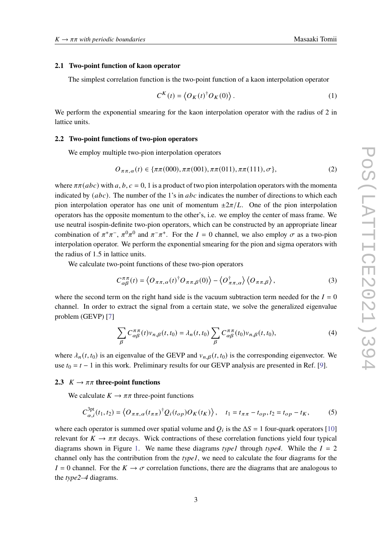#### **2.1 Two-point function of kaon operator**

The simplest correlation function is the two-point function of a kaon interpolation operator

$$
C^{K}(t) = \langle O_{K}(t)^{\dagger} O_{K}(0) \rangle.
$$
 (1)

We perform the exponential smearing for the kaon interpolation operator with the radius of 2 in lattice units.

#### **2.2 Two-point functions of two-pion operators**

We employ multiple two-pion interpolation operators

$$
O_{\pi\pi,\alpha}(t) \in \{\pi\pi(000), \pi\pi(001), \pi\pi(011), \pi\pi(111), \sigma\},\tag{2}
$$

where  $\pi \pi (abc)$  with a, b,  $c = 0$ , 1 is a product of two pion interpolation operators with the momenta indicated by  $(abc)$ . The number of the 1's in  $abc$  indicates the number of directions to which each pion interpolation operator has one unit of momentum  $\pm 2\pi/L$ . One of the pion interpolation operators has the opposite momentum to the other's, i.e. we employ the center of mass frame. We use neutral isospin-definite two-pion operators, which can be constructed by an appropriate linear combination of  $\pi^+\pi^-$ ,  $\pi^0\pi^0$  and  $\pi^-\pi^+$ . For the  $I = 0$  channel, we also employ  $\sigma$  as a two-pion interpolation operator. We perform the exponential smearing for the pion and sigma operators with the radius of 1.5 in lattice units.

We calculate two-point functions of these two-pion operators

$$
C_{\alpha\beta}^{\pi\pi}(t) = \langle O_{\pi\pi,\alpha}(t)^\dagger O_{\pi\pi,\beta}(0) \rangle - \langle O_{\pi\pi,\alpha}^\dagger \rangle \langle O_{\pi\pi,\beta} \rangle, \tag{3}
$$

where the second term on the right hand side is the vacuum subtraction term needed for the  $I = 0$ channel. In order to extract the signal from a certain state, we solve the generalized eigenvalue problem (GEVP) [\[7\]](#page-7-0)

$$
\sum_{\beta} C_{\alpha\beta}^{\pi\pi}(t) v_{n,\beta}(t, t_0) = \lambda_n(t, t_0) \sum_{\beta} C_{\alpha\beta}^{\pi\pi}(t_0) v_{n,\beta}(t, t_0), \tag{4}
$$

where  $\lambda_n(t, t_0)$  is an eigenvalue of the GEVP and  $v_{n, \beta}(t, t_0)$  is the corresponding eigenvector. We use  $t_0 = t - 1$  in this work. Preliminary results for our GEVP analysis are presented in Ref. [\[9\]](#page-7-2).

#### **2.3**  $K \rightarrow \pi\pi$  three-point functions

We calculate  $K \to \pi \pi$  three-point functions

<span id="page-2-0"></span>
$$
C_{\alpha,i}^{3pt}(t_1,t_2) = \langle O_{\pi\pi,\alpha}(t_{\pi\pi})^{\dagger} Q_i(t_{op}) O_K(t_K) \rangle, \quad t_1 = t_{\pi\pi} - t_{op}, t_2 = t_{op} - t_K,
$$
 (5)

where each operator is summed over spatial volume and  $Q_i$  is the  $\Delta S = 1$  four-quark operators [\[10\]](#page-7-3) relevant for  $K \to \pi \pi$  decays. Wick contractions of these correlation functions yield four typical diagrams shown in Figure [1.](#page-3-0) We name these diagrams *type1* through *type4*. While the  $I = 2$ channel only has the contribution from the *type1*, we need to calculate the four diagrams for the  $I = 0$  channel. For the  $K \to \sigma$  correlation functions, there are the diagrams that are analogous to the *type2–4* diagrams.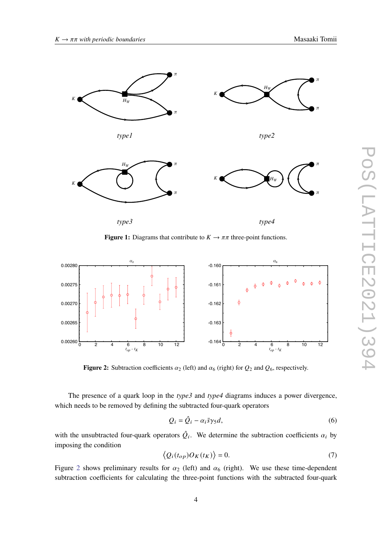<span id="page-3-0"></span>

**Figure 1:** Diagrams that contribute to  $K \to \pi\pi$  three-point functions.

<span id="page-3-1"></span>

**Figure 2:** Subtraction coefficients  $\alpha_2$  (left) and  $\alpha_6$  (right) for  $Q_2$  and  $Q_6$ , respectively.

The presence of a quark loop in the *type3* and *type4* diagrams induces a power divergence, which needs to be removed by defining the subtracted four-quark operators

$$
Q_i = \hat{Q}_i - \alpha_i \bar{s} \gamma_5 d,\tag{6}
$$

with the unsubtracted four-quark operators  $\hat{Q}_i$ . We determine the subtraction coefficients  $\alpha_i$  by imposing the condition

$$
\langle Q_i(t_{op})O_K(t_K)\rangle = 0.
$$
\n(7)

Figure [2](#page-3-1) shows preliminary results for  $\alpha_2$  (left) and  $\alpha_6$  (right). We use these time-dependent subtraction coefficients for calculating the three-point functions with the subtracted four-quark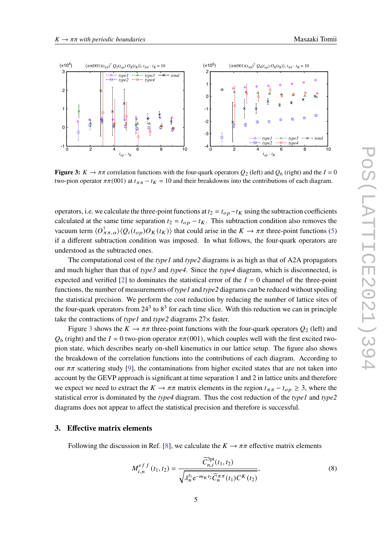<span id="page-4-0"></span>

**Figure 3:**  $K \to \pi \pi$  correlation functions with the four-quark operators  $Q_2$  (left) and  $Q_6$  (right) and the  $I = 0$ two-pion operator  $\pi\pi(001)$  at  $t_{\pi\pi} - t_K = 10$  and their breakdowns into the contributions of each diagram.

operators, i.e. we calculate the three-point functions at  $t_2 = t_{op} - t_K$  using the subtraction coefficients calculated at the same time separation  $t_2 = t_{op} - t_K$ . This subtraction condition also removes the vacuum term  $\langle O_{\pi\pi,\alpha}^{\dagger} \rangle \langle Q_i(t_{op}) O_K(t_K) \rangle$  that could arise in the  $K \to \pi\pi$  three-point functions [\(5\)](#page-2-0) if a different subtraction condition was imposed. In what follows, the four-quark operators are understood as the subtracted ones.

The computational cost of the *type1* and *type2* diagrams is as high as that of A2A propagators and much higher than that of *type3* and *type4*. Since the *type4* diagram, which is disconnected, is expected and verified [\[2\]](#page-6-1) to dominates the statistical error of the  $I = 0$  channel of the three-point functions, the number of measurements of *type1* and *type2* diagrams can be reduced without spoiling the statistical precision. We perform the cost reduction by reducing the number of lattice sites of the four-quark operators from  $24<sup>3</sup>$  to  $8<sup>3</sup>$  for each time slice. With this reduction we can in principle take the contractions of *type1* and *type2* diagrams 27× faster.

Figure [3](#page-4-0) shows the  $K \to \pi \pi$  three-point functions with the four-quark operators  $Q_2$  (left) and  $\mathcal{O}_6$  (right) and the  $I = 0$  two-pion operator  $\pi \pi (001)$ , which couples well with the first excited twopion state, which describes nearly on-shell kinematics in our lattice setup. The figure also shows the breakdown of the correlation functions into the contributions of each diagram. According to our  $\pi\pi$  scattering study [\[9\]](#page-7-2), the contaminations from higher excited states that are not taken into account by the GEVP approach is significant at time separation 1 and 2 in lattice units and therefore we expect we need to extract the  $K \to \pi \pi$  matrix elements in the region  $t_{\pi \pi} - t_{op} \geq 3$ , where the statistical error is dominated by the *type4* diagram. Thus the cost reduction of the *type1* and *type2* diagrams does not appear to affect the statistical precision and therefore is successful.

#### **3. Effective matrix elements**

Following the discussion in Ref. [\[8\]](#page-7-1), we calculate the  $K \to \pi \pi$  effective matrix elements

<span id="page-4-1"></span>
$$
M_{i,n}^{eff}(t_1, t_2) = \frac{\widetilde{C}_{n,i}^{3pt}(t_1, t_2)}{\sqrt{\lambda_n^{t_1} e^{-m_K t_2} \widetilde{C}_n^{\pi \pi}(t_1) C^K(t_2)}},
$$
(8)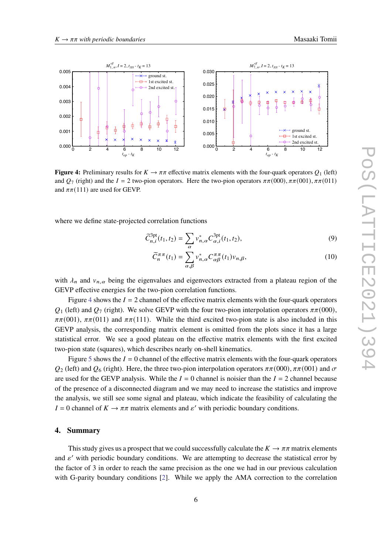<span id="page-5-0"></span>

**Figure 4:** Preliminary results for  $K \to \pi \pi$  effective matrix elements with the four-quark operators  $Q_1$  (left) and  $Q_7$  (right) and the  $I = 2$  two-pion operators. Here the two-pion operators  $\pi \pi (000)$ ,  $\pi \pi (001)$ ,  $\pi \pi (011)$ and  $\pi\pi$ (111) are used for GEVP.

where we define state-projected correlation functions

$$
\widetilde{C}_{n,i}^{3pt}(t_1, t_2) = \sum_{\alpha} v_{n,\alpha}^* C_{\alpha,i}^{3pt}(t_1, t_2),
$$
\n(9)

$$
\widetilde{C}_{n}^{\pi\pi}(t_{1}) = \sum_{\alpha,\beta} v_{n,\alpha}^{*} C_{\alpha\beta}^{\pi\pi}(t_{1}) v_{n,\beta},
$$
\n(10)

with  $\lambda_n$  and  $v_{n,\alpha}$  being the eigenvalues and eigenvectors extracted from a plateau region of the GEVP effective energies for the two-pion correlation functions.

Figure [4](#page-5-0) shows the  $I = 2$  channel of the effective matrix elements with the four-quark operators  $Q_1$  (left) and  $Q_7$  (right). We solve GEVP with the four two-pion interpolation operators  $\pi\pi(000)$ ,  $\pi\pi(001)$ ,  $\pi\pi(011)$  and  $\pi\pi(111)$ . While the third excited two-pion state is also included in this GEVP analysis, the corresponding matrix element is omitted from the plots since it has a large statistical error. We see a good plateau on the effective matrix elements with the first excited two-pion state (squares), which describes nearly on-shell kinematics.

Figure [5](#page-6-6) shows the  $I = 0$  channel of the effective matrix elements with the four-quark operators  $Q_2$  (left) and  $Q_6$  (right). Here, the three two-pion interpolation operators  $\pi \pi (000)$ ,  $\pi \pi (001)$  and  $\sigma$ are used for the GEVP analysis. While the  $I = 0$  channel is noisier than the  $I = 2$  channel because of the presence of a disconnected diagram and we may need to increase the statistics and improve the analysis, we still see some signal and plateau, which indicate the feasibility of calculating the  $I = 0$  channel of  $K \to \pi \pi$  matrix elements and  $\varepsilon'$  with periodic boundary conditions.

#### **4. Summary**

This study gives us a prospect that we could successfully calculate the  $K \to \pi \pi$  matrix elements and  $\varepsilon'$  with periodic boundary conditions. We are attempting to decrease the statistical error by the factor of 3 in order to reach the same precision as the one we had in our previous calculation with G-parity boundary conditions [\[2\]](#page-6-1). While we apply the AMA correction to the correlation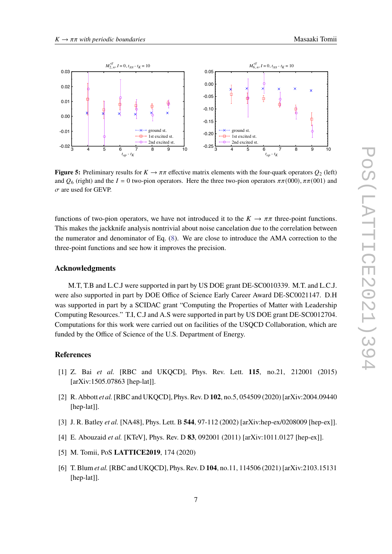

<span id="page-6-6"></span>

**Figure 5:** Preliminary results for  $K \to \pi \pi$  effective matrix elements with the four-quark operators  $Q_2$  (left) and  $Q_6$  (right) and the  $I = 0$  two-pion operators. Here the three two-pion operators  $\pi \pi (000)$ ,  $\pi \pi (001)$  and  $\sigma$  are used for GEVP.

functions of two-pion operators, we have not introduced it to the  $K \to \pi \pi$  three-point functions. This makes the jackknife analysis nontrivial about noise cancelation due to the correlation between the numerator and denominator of Eq. [\(8\)](#page-4-1). We are close to introduce the AMA correction to the three-point functions and see how it improves the precision.

#### **Acknowledgments**

M.T, T.B and L.C.J were supported in part by US DOE grant DE-SC0010339. M.T. and L.C.J. were also supported in part by DOE Office of Science Early Career Award DE-SC0021147. D.H was supported in part by a SCIDAC grant "Computing the Properties of Matter with Leadership Computing Resources." T.I, C.J and A.S were supported in part by US DOE grant DE-SC0012704. Computations for this work were carried out on facilities of the USQCD Collaboration, which are funded by the Office of Science of the U.S. Department of Energy.

#### **References**

- <span id="page-6-0"></span>[1] Z. Bai *et al.* [RBC and UKQCD], Phys. Rev. Lett. **115**, no.21, 212001 (2015) [arXiv:1505.07863 [hep-lat]].
- <span id="page-6-1"></span>[2] R. Abbott *et al.*[RBC and UKQCD], Phys. Rev. D **102**, no.5, 054509 (2020) [arXiv:2004.09440 [hep-lat]].
- <span id="page-6-2"></span>[3] J. R. Batley *et al.* [NA48], Phys. Lett. B **544**, 97-112 (2002) [arXiv:hep-ex/0208009 [hep-ex]].
- <span id="page-6-3"></span>[4] E. Abouzaid *et al.* [KTeV], Phys. Rev. D **83**, 092001 (2011) [arXiv:1011.0127 [hep-ex]].
- <span id="page-6-4"></span>[5] M. Tomii, PoS **LATTICE2019**, 174 (2020)
- <span id="page-6-5"></span>[6] T. Blum *et al.*[RBC and UKQCD], Phys. Rev. D **104**, no.11, 114506 (2021) [arXiv:2103.15131 [hep-lat]].